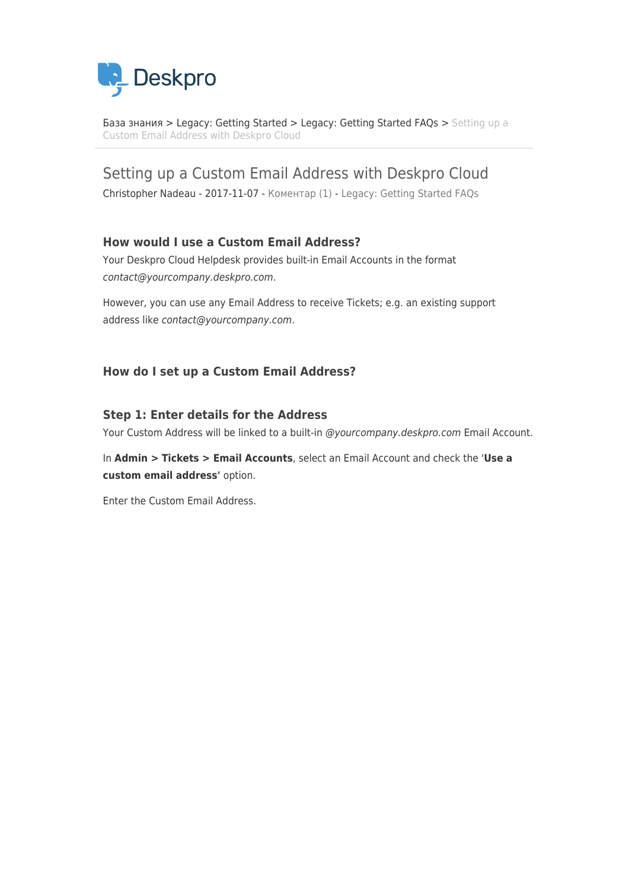

[База знания](https://support.deskpro.com/bg/kb) > [Legacy: Getting Started](https://support.deskpro.com/bg/kb/legacy-getting-started) > [Legacy: Getting Started FAQs](https://support.deskpro.com/bg/kb/legacy-getting-started-faqs) > [Setting up a](https://support.deskpro.com/bg/kb/articles/setting-up-a-custom-email-address-with-deskpro-cloud) [Custom Email Address with Deskpro Cloud](https://support.deskpro.com/bg/kb/articles/setting-up-a-custom-email-address-with-deskpro-cloud)

Setting up a Custom Email Address with Deskpro Cloud

Christopher Nadeau - 2017-11-07 - [Коментар \(1\)](#page--1-0) - [Legacy: Getting Started FAQs](https://support.deskpro.com/bg/kb/legacy-getting-started-faqs)

## **How would I use a Custom Email Address?**

Your Deskpro Cloud Helpdesk provides built-in Email Accounts in the format contact@yourcompany.deskpro.com.

However, you can use any Email Address to receive Tickets; e.g. an existing support address like contact@yourcompany.com.

#### **How do I set up a Custom Email Address?**

#### **Step 1: Enter details for the Address**

Your Custom Address will be linked to a built-in @yourcompany.deskpro.com Email Account.

In **Admin > Tickets > Email Accounts**, select an Email Account and check the '**Use a custom email address'** option.

Enter the Custom Email Address.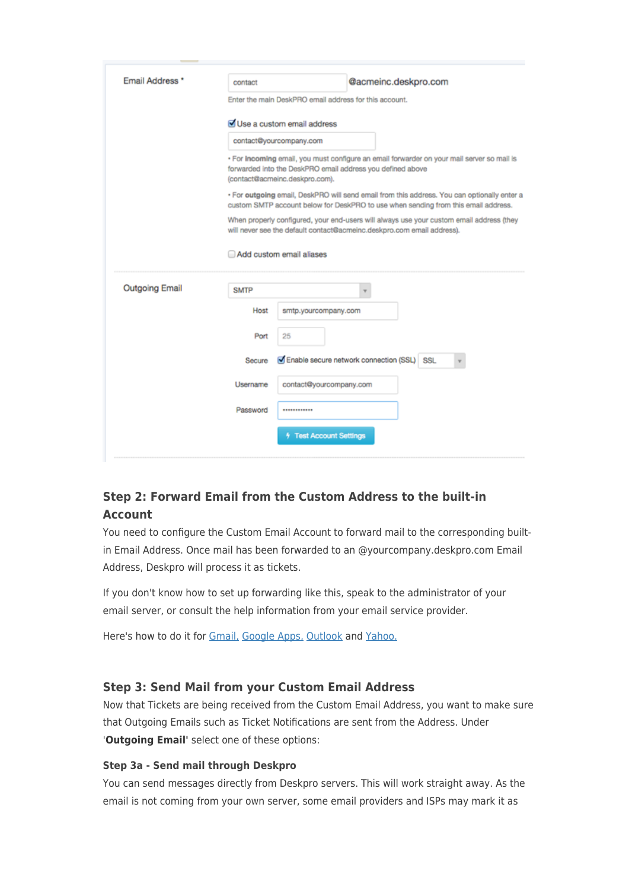| <b>Email Address</b>  | contact                                                                                                                                                                                    |                                                                                                                                                                                   | @acmeinc.deskpro.com                       |  |  |  |
|-----------------------|--------------------------------------------------------------------------------------------------------------------------------------------------------------------------------------------|-----------------------------------------------------------------------------------------------------------------------------------------------------------------------------------|--------------------------------------------|--|--|--|
|                       | Enter the main DeskPRO email address for this account.                                                                                                                                     |                                                                                                                                                                                   |                                            |  |  |  |
|                       | Use a custom email address                                                                                                                                                                 |                                                                                                                                                                                   |                                            |  |  |  |
|                       | contact@yourcompany.com                                                                                                                                                                    |                                                                                                                                                                                   |                                            |  |  |  |
|                       | · For incoming email, you must configure an email forwarder on your mail server so mail is<br>forwarded into the DeskPRO email address you defined above<br>(contact@acmeinc.deskpro.com). |                                                                                                                                                                                   |                                            |  |  |  |
|                       |                                                                                                                                                                                            | . For outgoing email, DeskPRO will send email from this address. You can optionally enter a<br>custom SMTP account below for DeskPRO to use when sending from this email address. |                                            |  |  |  |
|                       | When properly configured, your end-users will always use your custom email address (they<br>will never see the default contact@acmeinc.deskpro.com email address).                         |                                                                                                                                                                                   |                                            |  |  |  |
|                       | Add custom email aliases                                                                                                                                                                   |                                                                                                                                                                                   |                                            |  |  |  |
| <b>Outgoing Email</b> | <b>SMTP</b>                                                                                                                                                                                |                                                                                                                                                                                   |                                            |  |  |  |
|                       | Host                                                                                                                                                                                       | smtp.yourcompany.com                                                                                                                                                              |                                            |  |  |  |
|                       | Port                                                                                                                                                                                       | 25                                                                                                                                                                                |                                            |  |  |  |
|                       | Secure                                                                                                                                                                                     |                                                                                                                                                                                   | Enable secure network connection (SSL) SSL |  |  |  |
|                       | Username                                                                                                                                                                                   | contact@yourcompany.com                                                                                                                                                           |                                            |  |  |  |
|                       | Password                                                                                                                                                                                   |                                                                                                                                                                                   |                                            |  |  |  |
|                       |                                                                                                                                                                                            | <sup>4</sup> Test Account Settings                                                                                                                                                |                                            |  |  |  |
|                       |                                                                                                                                                                                            |                                                                                                                                                                                   |                                            |  |  |  |

# **Step 2: Forward Email from the Custom Address to the built-in Account**

You need to configure the Custom Email Account to forward mail to the corresponding builtin Email Address. Once mail has been forwarded to an @yourcompany.deskpro.com Email Address, Deskpro will process it as tickets.

If you don't know how to set up forwarding like this, speak to the administrator of your email server, or consult the help information from your email service provider.

Here's how to do it for [Gmail,](https://support.google.com/mail/answer/10957?__s=%5Bsubscriber.token%5D) [Google Apps,](https://support.google.com/a/answer/2707558?hl=en&__s=%5Bsubscriber.token%5D) [Outlook](https://support.deskpro.com/kb/articles/246) and [Yahoo.](https://help.yahoo.com/kb/mail/SLN3525.html?__s=%5Bsubscriber.token%5D)

## **Step 3: Send Mail from your Custom Email Address**

Now that Tickets are being received from the Custom Email Address, you want to make sure that Outgoing Emails such as Ticket Notifications are sent from the Address. Under '**Outgoing Email'** select one of these options:

#### **Step 3a - Send mail through Deskpro**

You can send messages directly from Deskpro servers. This will work straight away. As the email is not coming from your own server, some email providers and ISPs may mark it as